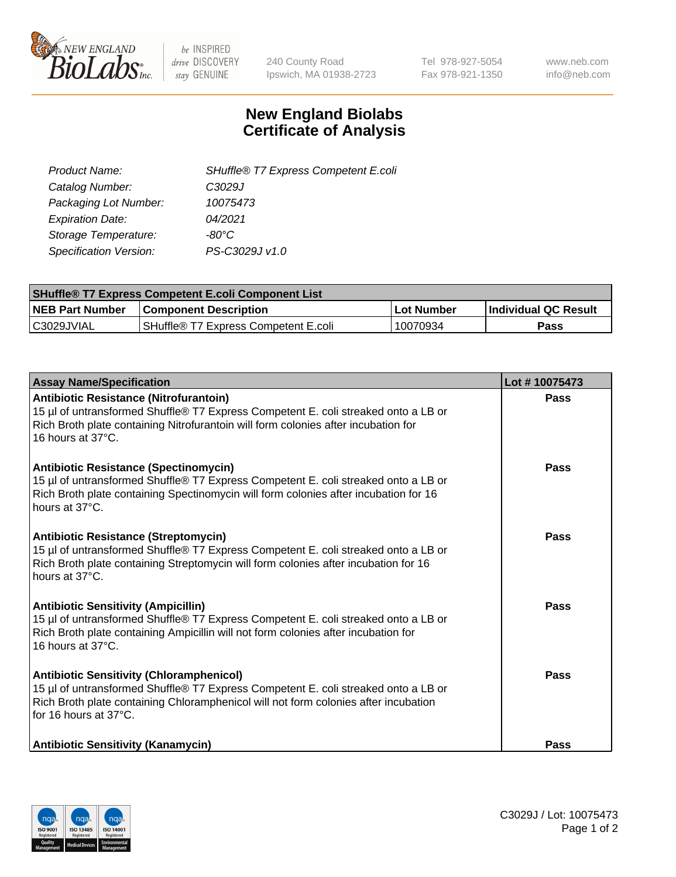

 $be$  INSPIRED drive DISCOVERY stay GENUINE

240 County Road Ipswich, MA 01938-2723 Tel 978-927-5054 Fax 978-921-1350 www.neb.com info@neb.com

## **New England Biolabs Certificate of Analysis**

| SHuffle® T7 Express Competent E.coli |
|--------------------------------------|
| C3029J                               |
| 10075473                             |
| 04/2021                              |
| -80°C.                               |
| PS-C3029J v1.0                       |
|                                      |

| <b>SHuffle<sup>®</sup> T7 Express Competent E.coli Component List</b> |                                      |            |                             |  |
|-----------------------------------------------------------------------|--------------------------------------|------------|-----------------------------|--|
| <b>NEB Part Number</b>                                                | <b>Component Description</b>         | Lot Number | <b>Individual QC Result</b> |  |
| C3029JVIAL                                                            | SHuffle® T7 Express Competent E.coli | 10070934   | <b>Pass</b>                 |  |

| <b>Assay Name/Specification</b>                                                                                                                                                                                                                       | Lot #10075473 |
|-------------------------------------------------------------------------------------------------------------------------------------------------------------------------------------------------------------------------------------------------------|---------------|
| Antibiotic Resistance (Nitrofurantoin)<br>15 µl of untransformed Shuffle® T7 Express Competent E. coli streaked onto a LB or<br>Rich Broth plate containing Nitrofurantoin will form colonies after incubation for<br>16 hours at 37°C.               | Pass          |
| Antibiotic Resistance (Spectinomycin)<br>15 µl of untransformed Shuffle® T7 Express Competent E. coli streaked onto a LB or<br>Rich Broth plate containing Spectinomycin will form colonies after incubation for 16<br>hours at 37°C.                 | Pass          |
| Antibiotic Resistance (Streptomycin)<br>15 µl of untransformed Shuffle® T7 Express Competent E. coli streaked onto a LB or<br>Rich Broth plate containing Streptomycin will form colonies after incubation for 16<br>hours at 37°C.                   | <b>Pass</b>   |
| <b>Antibiotic Sensitivity (Ampicillin)</b><br>15 µl of untransformed Shuffle® T7 Express Competent E. coli streaked onto a LB or<br>Rich Broth plate containing Ampicillin will not form colonies after incubation for<br>16 hours at 37°C.           | Pass          |
| <b>Antibiotic Sensitivity (Chloramphenicol)</b><br>15 µl of untransformed Shuffle® T7 Express Competent E. coli streaked onto a LB or<br>Rich Broth plate containing Chloramphenicol will not form colonies after incubation<br>for 16 hours at 37°C. | <b>Pass</b>   |
| <b>Antibiotic Sensitivity (Kanamycin)</b>                                                                                                                                                                                                             | <b>Pass</b>   |